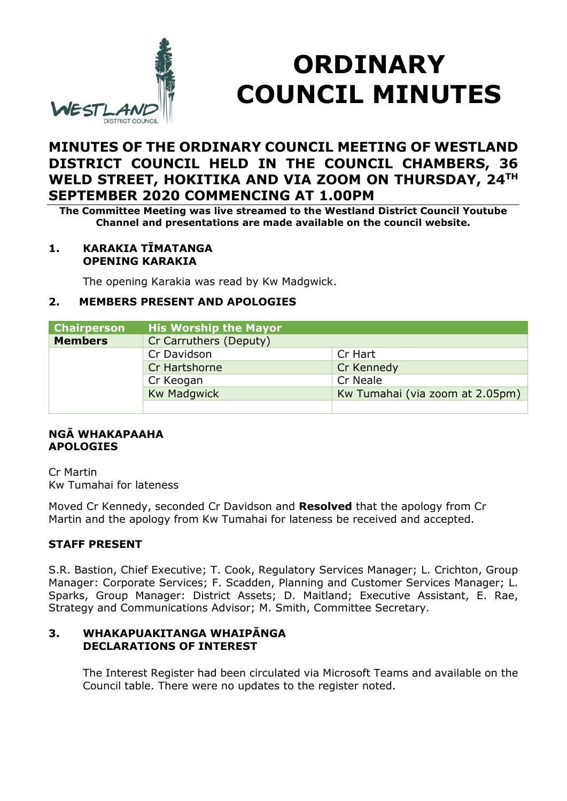

# **ORDINARY COUNCIL MINUTES**

# **MINUTES OF THE ORDINARY COUNCIL MEETING OF WESTLAND DISTRICT COUNCIL HELD IN THE COUNCIL CHAMBERS, 36 WELD STREET, HOKITIKA AND VIA ZOOM ON THURSDAY, 24TH SEPTEMBER 2020 COMMENCING AT 1.00PM**

**The Committee Meeting was live streamed to the Westland District Council Youtube Channel and presentations are made available on the council website.**

# **1. KARAKIA TĪMATANGA OPENING KARAKIA**

The opening Karakia was read by Kw Madgwick.

# **2. MEMBERS PRESENT AND APOLOGIES**

| <b>Chairperson</b> | <b>His Worship the Mayor</b> |                                 |
|--------------------|------------------------------|---------------------------------|
| <b>Members</b>     | Cr Carruthers (Deputy)       |                                 |
|                    | Cr Davidson                  | Cr Hart                         |
|                    | Cr Hartshorne                | Cr Kennedy                      |
|                    | Cr Keogan                    | Cr Neale                        |
|                    | <b>Kw Madgwick</b>           | Kw Tumahai (via zoom at 2.05pm) |
|                    |                              |                                 |

# **NGĀ WHAKAPAAHA APOLOGIES**

Cr Martin Kw Tumahai for lateness

Moved Cr Kennedy, seconded Cr Davidson and **Resolved** that the apology from Cr Martin and the apology from Kw Tumahai for lateness be received and accepted.

# **STAFF PRESENT**

S.R. Bastion, Chief Executive; T. Cook, Regulatory Services Manager; L. Crichton, Group Manager: Corporate Services; F. Scadden, Planning and Customer Services Manager; L. Sparks, Group Manager: District Assets; D. Maitland; Executive Assistant, E. Rae, Strategy and Communications Advisor; M. Smith, Committee Secretary.

#### **3. WHAKAPUAKITANGA WHAIPĀNGA DECLARATIONS OF INTEREST**

The Interest Register had been circulated via Microsoft Teams and available on the Council table. There were no updates to the register noted.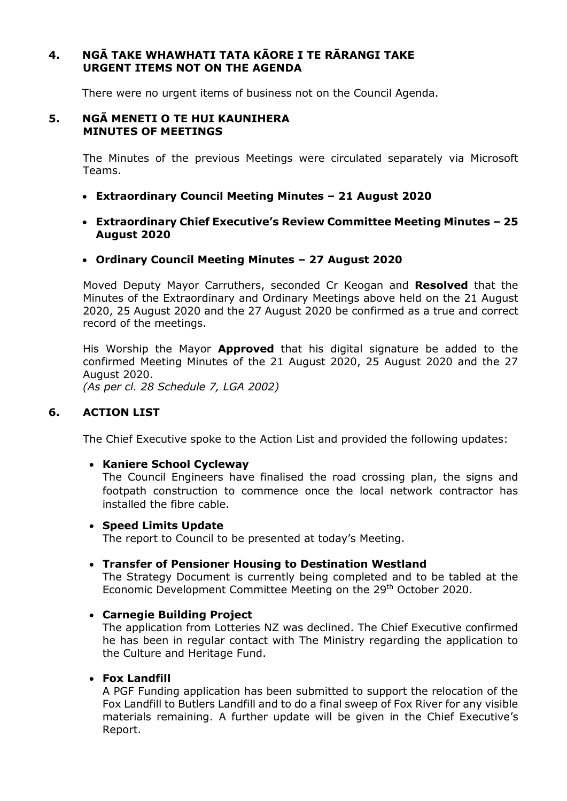# **4. NGĀ TAKE WHAWHATI TATA KĀORE I TE RĀRANGI TAKE URGENT ITEMS NOT ON THE AGENDA**

There were no urgent items of business not on the Council Agenda.

#### **5. NGĀ MENETI O TE HUI KAUNIHERA MINUTES OF MEETINGS**

The Minutes of the previous Meetings were circulated separately via Microsoft Teams.

- **Extraordinary Council Meeting Minutes – 21 August 2020**
- **Extraordinary Chief Executive's Review Committee Meeting Minutes – 25 August 2020**
- **Ordinary Council Meeting Minutes – 27 August 2020**

Moved Deputy Mayor Carruthers, seconded Cr Keogan and **Resolved** that the Minutes of the Extraordinary and Ordinary Meetings above held on the 21 August 2020, 25 August 2020 and the 27 August 2020 be confirmed as a true and correct record of the meetings.

His Worship the Mayor **Approved** that his digital signature be added to the confirmed Meeting Minutes of the 21 August 2020, 25 August 2020 and the 27 August 2020. *(As per cl. 28 Schedule 7, LGA 2002)*

# **6. ACTION LIST**

The Chief Executive spoke to the Action List and provided the following updates:

#### **Kaniere School Cycleway**

The Council Engineers have finalised the road crossing plan, the signs and footpath construction to commence once the local network contractor has installed the fibre cable.

#### **Speed Limits Update**

The report to Council to be presented at today's Meeting.

**Transfer of Pensioner Housing to Destination Westland**

The Strategy Document is currently being completed and to be tabled at the Economic Development Committee Meeting on the 29<sup>th</sup> October 2020.

#### **Carnegie Building Project**

The application from Lotteries NZ was declined. The Chief Executive confirmed he has been in regular contact with The Ministry regarding the application to the Culture and Heritage Fund.

#### **Fox Landfill**

A PGF Funding application has been submitted to support the relocation of the Fox Landfill to Butlers Landfill and to do a final sweep of Fox River for any visible materials remaining. A further update will be given in the Chief Executive's Report.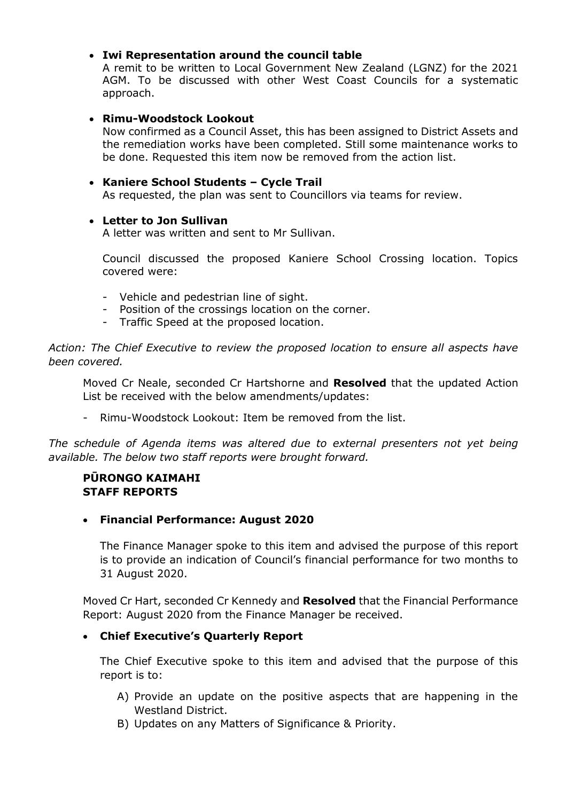# **Iwi Representation around the council table**

A remit to be written to Local Government New Zealand (LGNZ) for the 2021 AGM. To be discussed with other West Coast Councils for a systematic approach.

## **Rimu-Woodstock Lookout**

Now confirmed as a Council Asset, this has been assigned to District Assets and the remediation works have been completed. Still some maintenance works to be done. Requested this item now be removed from the action list.

## **Kaniere School Students – Cycle Trail**

As requested, the plan was sent to Councillors via teams for review.

#### **Letter to Jon Sullivan**

A letter was written and sent to Mr Sullivan.

Council discussed the proposed Kaniere School Crossing location. Topics covered were:

- Vehicle and pedestrian line of sight.
- Position of the crossings location on the corner.
- Traffic Speed at the proposed location.

*Action: The Chief Executive to review the proposed location to ensure all aspects have been covered.*

Moved Cr Neale, seconded Cr Hartshorne and **Resolved** that the updated Action List be received with the below amendments/updates:

- Rimu-Woodstock Lookout: Item be removed from the list.

The schedule of Agenda items was altered due to external presenters not yet being *available. The below two staff reports were brought forward.*

# **PŪRONGO KAIMAHI STAFF REPORTS**

# **Financial Performance: August 2020**

The Finance Manager spoke to this item and advised the purpose of this report is to provide an indication of Council's financial performance for two months to 31 August 2020.

Moved Cr Hart, seconded Cr Kennedy and **Resolved** that the Financial Performance Report: August 2020 from the Finance Manager be received.

# **Chief Executive's Quarterly Report**

The Chief Executive spoke to this item and advised that the purpose of this report is to:

- A) Provide an update on the positive aspects that are happening in the Westland District.
- B) Updates on any Matters of Significance & Priority.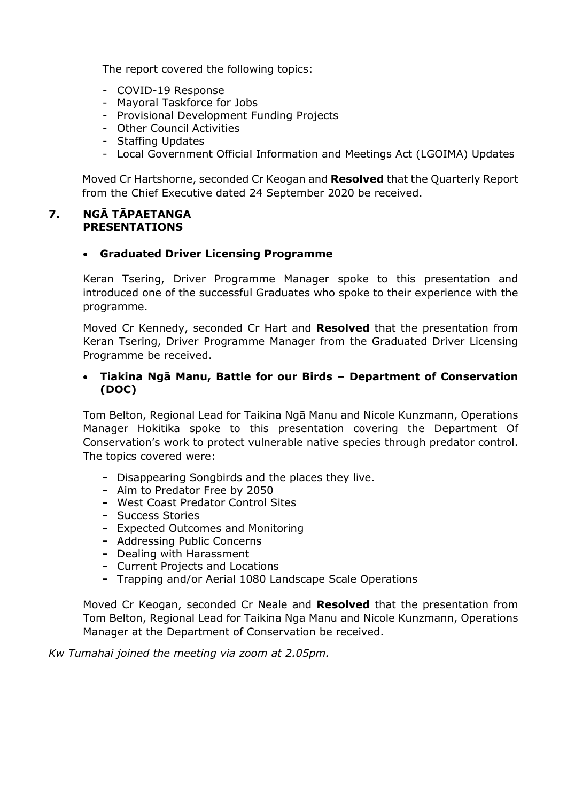The report covered the following topics:

- COVID-19 Response
- Mayoral Taskforce for Jobs
- Provisional Development Funding Projects
- Other Council Activities
- Staffing Updates
- Local Government Official Information and Meetings Act (LGOIMA) Updates

Moved Cr Hartshorne, seconded Cr Keogan and **Resolved** that the Quarterly Report from the Chief Executive dated 24 September 2020 be received.

#### **7. NGĀ TĀPAETANGA PRESENTATIONS**

#### **Graduated Driver Licensing Programme**

Keran Tsering, Driver Programme Manager spoke to this presentation and introduced one of the successful Graduates who spoke to their experience with the programme.

Moved Cr Kennedy, seconded Cr Hart and **Resolved** that the presentation from Keran Tsering, Driver Programme Manager from the Graduated Driver Licensing Programme be received.

# **Tiakina Ngā Manu, Battle for our Birds – Department of Conservation (DOC)**

Tom Belton, Regional Lead for Taikina Ngā Manu and Nicole Kunzmann, Operations Manager Hokitika spoke to this presentation covering the Department Of Conservation's work to protect vulnerable native species through predator control. The topics covered were:

- **-** Disappearing Songbirds and the places they live.
- **-** Aim to Predator Free by 2050
- **-** West Coast Predator Control Sites
- **-** Success Stories
- **-** Expected Outcomes and Monitoring
- **-** Addressing Public Concerns
- **-** Dealing with Harassment
- **-** Current Projects and Locations
- **-** Trapping and/or Aerial 1080 Landscape Scale Operations

Moved Cr Keogan, seconded Cr Neale and **Resolved** that the presentation from Tom Belton, Regional Lead for Taikina Nga Manu and Nicole Kunzmann, Operations Manager at the Department of Conservation be received.

*Kw Tumahai joined the meeting via zoom at 2.05pm.*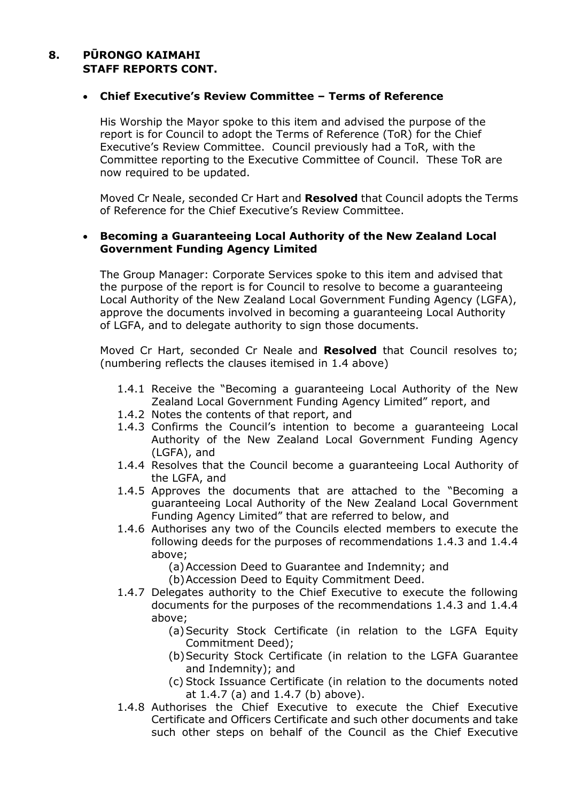# **8. PŪRONGO KAIMAHI STAFF REPORTS CONT.**

# **Chief Executive's Review Committee – Terms of Reference**

His Worship the Mayor spoke to this item and advised the purpose of the report is for Council to adopt the Terms of Reference (ToR) for the Chief Executive's Review Committee. Council previously had a ToR, with the Committee reporting to the Executive Committee of Council. These ToR are now required to be updated.

Moved Cr Neale, seconded Cr Hart and **Resolved** that Council adopts the Terms of Reference for the Chief Executive's Review Committee.

#### **Becoming a Guaranteeing Local Authority of the New Zealand Local Government Funding Agency Limited**

The Group Manager: Corporate Services spoke to this item and advised that the purpose of the report is for Council to resolve to become a guaranteeing Local Authority of the New Zealand Local Government Funding Agency (LGFA), approve the documents involved in becoming a guaranteeing Local Authority of LGFA, and to delegate authority to sign those documents.

Moved Cr Hart, seconded Cr Neale and **Resolved** that Council resolves to; (numbering reflects the clauses itemised in 1.4 above)

- 1.4.1 Receive the "Becoming a guaranteeing Local Authority of the New Zealand Local Government Funding Agency Limited" report, and
- 1.4.2 Notes the contents of that report, and
- 1.4.3 Confirms the Council's intention to become a guaranteeing Local Authority of the New Zealand Local Government Funding Agency (LGFA), and
- 1.4.4 Resolves that the Council become a guaranteeing Local Authority of the LGFA, and
- 1.4.5 Approves the documents that are attached to the "Becoming a guaranteeing Local Authority of the New Zealand Local Government Funding Agency Limited" that are referred to below, and
- 1.4.6 Authorises any two of the Councils elected members to execute the following deeds for the purposes of recommendations 1.4.3 and 1.4.4 above;
	- (a)Accession Deed to Guarantee and Indemnity; and
	- (b)Accession Deed to Equity Commitment Deed.
- 1.4.7 Delegates authority to the Chief Executive to execute the following documents for the purposes of the recommendations 1.4.3 and 1.4.4 above;
	- (a)Security Stock Certificate (in relation to the LGFA Equity Commitment Deed);
	- (b)Security Stock Certificate (in relation to the LGFA Guarantee and Indemnity); and
	- (c) Stock Issuance Certificate (in relation to the documents noted at 1.4.7 (a) and 1.4.7 (b) above).
- 1.4.8 Authorises the Chief Executive to execute the Chief Executive Certificate and Officers Certificate and such other documents and take such other steps on behalf of the Council as the Chief Executive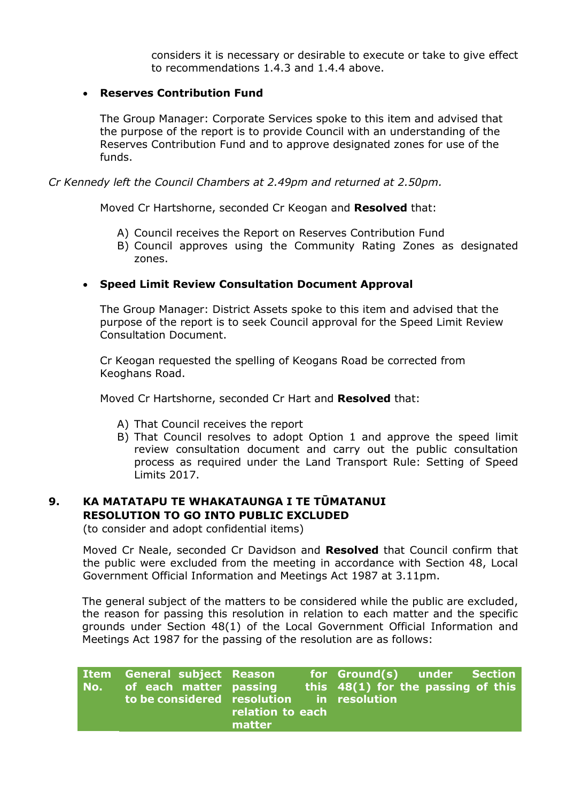considers it is necessary or desirable to execute or take to give effect to recommendations 1.4.3 and 1.4.4 above.

#### **Reserves Contribution Fund**

The Group Manager: Corporate Services spoke to this item and advised that the purpose of the report is to provide Council with an understanding of the Reserves Contribution Fund and to approve designated zones for use of the funds.

*Cr Kennedy left the Council Chambers at 2.49pm and returned at 2.50pm.*

Moved Cr Hartshorne, seconded Cr Keogan and **Resolved** that:

- A) Council receives the Report on Reserves Contribution Fund
- B) Council approves using the Community Rating Zones as designated zones.

# **Speed Limit Review Consultation Document Approval**

The Group Manager: District Assets spoke to this item and advised that the purpose of the report is to seek Council approval for the Speed Limit Review Consultation Document.

Cr Keogan requested the spelling of Keogans Road be corrected from Keoghans Road.

Moved Cr Hartshorne, seconded Cr Hart and **Resolved** that:

- A) That Council receives the report
- B) That Council resolves to adopt Option 1 and approve the speed limit review consultation document and carry out the public consultation process as required under the Land Transport Rule: Setting of Speed Limits 2017.

#### **9. KA MATATAPU TE WHAKATAUNGA I TE TŪMATANUI RESOLUTION TO GO INTO PUBLIC EXCLUDED**

(to consider and adopt confidential items)

 Moved Cr Neale, seconded Cr Davidson and **Resolved** that Council confirm that the public were excluded from the meeting in accordance with Section 48, Local Government Official Information and Meetings Act 1987 at 3.11pm.

The general subject of the matters to be considered while the public are excluded, the reason for passing this resolution in relation to each matter and the specific grounds under Section 48(1) of the Local Government Official Information and Meetings Act 1987 for the passing of the resolution are as follows:

| No. | Item General subject Reason<br>of each matter passing<br>to be considered resolution in resolution | relation to each<br>matter |  | for Ground(s) under Section<br>this $48(1)$ for the passing of this |  |  |
|-----|----------------------------------------------------------------------------------------------------|----------------------------|--|---------------------------------------------------------------------|--|--|
|-----|----------------------------------------------------------------------------------------------------|----------------------------|--|---------------------------------------------------------------------|--|--|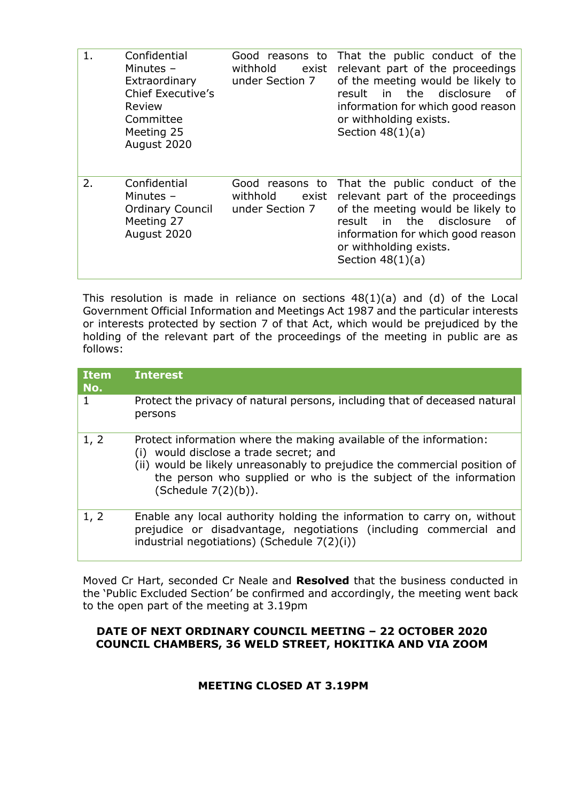| 1. | Confidential<br>Minutes $-$<br>Extraordinary<br><b>Chief Executive's</b><br>Review<br>Committee<br>Meeting 25<br>August 2020 | withhold<br>exist<br>under Section 7                    | Good reasons to That the public conduct of the<br>relevant part of the proceedings<br>of the meeting would be likely to<br>in the disclosure<br>result<br>оf<br>information for which good reason<br>or withholding exists.<br>Section $48(1)(a)$ |
|----|------------------------------------------------------------------------------------------------------------------------------|---------------------------------------------------------|---------------------------------------------------------------------------------------------------------------------------------------------------------------------------------------------------------------------------------------------------|
| 2. | Confidential<br>Minutes $-$<br><b>Ordinary Council</b><br>Meeting 27<br>August 2020                                          | Good reasons to<br>withhold<br>exist<br>under Section 7 | That the public conduct of the<br>relevant part of the proceedings<br>of the meeting would be likely to<br>disclosure<br>the<br>result<br>in l<br>Ωf<br>information for which good reason<br>or withholding exists.<br>Section $48(1)(a)$         |

This resolution is made in reliance on sections 48(1)(a) and (d) of the Local Government Official Information and Meetings Act 1987 and the particular interests or interests protected by section 7 of that Act, which would be prejudiced by the holding of the relevant part of the proceedings of the meeting in public are as follows:

| Item<br>No. | <b>Interest</b>                                                                                                                                                                                                                                                                            |  |
|-------------|--------------------------------------------------------------------------------------------------------------------------------------------------------------------------------------------------------------------------------------------------------------------------------------------|--|
|             | Protect the privacy of natural persons, including that of deceased natural<br>persons                                                                                                                                                                                                      |  |
| 1, 2        | Protect information where the making available of the information:<br>would disclose a trade secret; and<br>(i)<br>(ii) would be likely unreasonably to prejudice the commercial position of<br>the person who supplied or who is the subject of the information<br>(Schedule $7(2)(b)$ ). |  |
| 1, 2        | Enable any local authority holding the information to carry on, without<br>prejudice or disadvantage, negotiations (including commercial and<br>industrial negotiations) (Schedule 7(2)(i))                                                                                                |  |

Moved Cr Hart, seconded Cr Neale and **Resolved** that the business conducted in the 'Public Excluded Section' be confirmed and accordingly, the meeting went back to the open part of the meeting at 3.19pm

# **DATE OF NEXT ORDINARY COUNCIL MEETING – 22 OCTOBER 2020 COUNCIL CHAMBERS, 36 WELD STREET, HOKITIKA AND VIA ZOOM**

# **MEETING CLOSED AT 3.19PM**